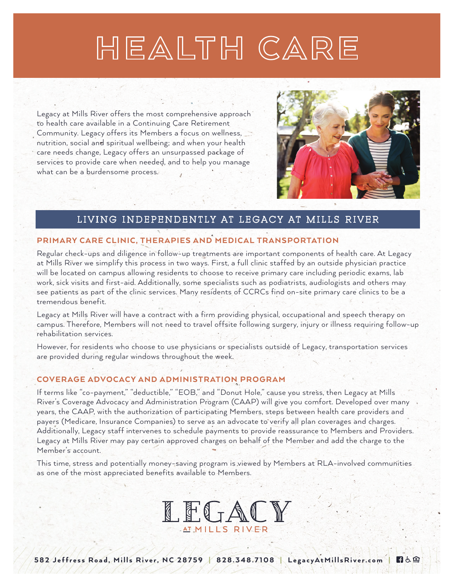## HEALTH CARE

Legacy at Mills River offers the most comprehensive approach to health care available in a Continuing Care Retirement Community. Legacy offers its Members a focus on wellness, nutrition, social and spiritual wellbeing; and when your health care needs change, Legacy offers an unsurpassed package of services to provide care when needed, and to help you manage what can be a burdensome process.



日占鱼

#### LIVING INDEPENDENTLY AT LEGACY AT MILLS RIVER

#### PRIMARY CARE CLINIC, THERAPIES AND MEDICAL TRANSPORTATION

Regular check-ups and diligence in follow-up treatments are important components of health care. At Legacy at Mills River we simplify this process in two ways. First, a full clinic staffed by an outside physician practice will be located on campus allowing residents to choose to receive primary care including periodic exams, lab work, sick visits and first-aid. Additionally, some specialists such as podiatrists, audiologists and others may see patients as part of the clinic services. Many residents of CCRCs find on-site primary care clinics to be a tremendous benefit.

Legacy at Mills River will have a contract with a firm providing physical, occupational and speech therapy on campus. Therefore, Members will not need to travel offsite following surgery, injury or illness requiring follow-up rehabilitation services.

However, for residents who choose to use physicians or specialists outside of Legacy, transportation services are provided during regular windows throughout the week.

#### COVERAGE ADVOCACY AND ADMINISTRATION PROGRAM

If terms like "co-payment," "deductible," "EOB," and "Donut Hole," cause you stress, then Legacy at Mills River's Coverage Advocacy and Administration Program (CAAP) will give you comfort. Developed over many years, the CAAP, with the authorization of participating Members, steps between health care providers and payers (Medicare, Insurance Companies) to serve as an advocate to verify all plan coverages and charges. Additionally, Legacy staff intervenes to schedule payments to provide reassurance to Members and Providers. Legacy at Mills River may pay certain approved charges on behalf of the Member and add the charge to the Member's account.

This time, stress and potentially money-saving program is viewed by Members at RLA-involved communities as one of the most appreciated benefits available to Members.

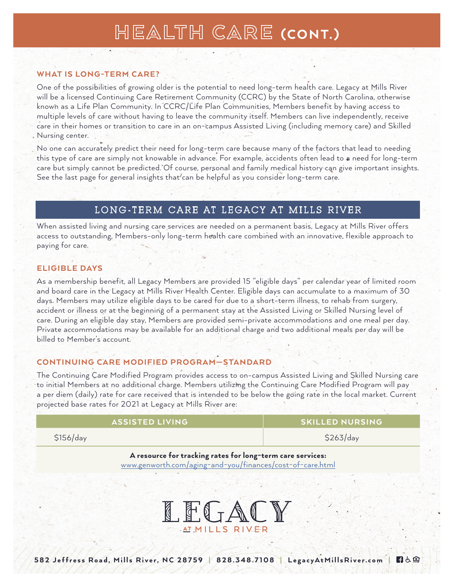## HEALTH CARE (CONT.)

#### WHAT IS LONG-TERM CARE?

One of the possibilities of growing older is the potential to need long-term health care. Legacy at Mills River will be a licensed Continuing Care Retirement Community (CCRC) by the State of North Carolina, otherwise known as a Life Plan Community. In CCRC/Life Plan Communities, Members benefit by having access to multiple levels of care without having to leave the community itself. Members can live independently, receive care in their homes or transition to care in an on-campus Assisted Living (including memory care) and Skilled Nursing center.

No one can accurately predict their need for long-term care because many of the factors that lead to needing this type of care are simply not knowable in advance. For example, accidents often lead to a need for long-term care but simply cannot be predicted. Of course, personal and family medical history can give important insights. See the last page for general insights that can be helpful as you consider long-term care.

#### LONG-TERM CARE AT LEGACY AT MILLS RIVER

When assisted living and nursing care services are needed on a permanent basis, Legacy at Mills River offers access to outstanding, Members-only long-term health care combined with an innovative, flexible approach to paying for care.

#### ELIGIBLE DAYS

As a membership benefit, all Legacy Members are provided 15 "eligible days" per calendar year of limited room and board care in the Legacy at Mills River Health Center. Eligible days can accumulate to a maximum of 30 days. Members may utilize eligible days to be cared for due to a short-term illness, to rehab from surgery, accident or illness or at the beginning of a permanent stay at the Assisted Living or Skilled Nursing level of care. During an eligible day stay, Members are provided semi-private accommodations and one meal per day. Private accommodations may be available for an additional charge and two additional meals per day will be billed to Member's account.

#### CONTINUING CARE MODIFIED PROGRAM—STANDARD

The Continuing Care Modified Program provides access to on-campus Assisted Living and Skilled Nursing care to initial Members at no additional charge. Members utilizing the Continuing Care Modified Program will pay a per diem (daily) rate for care received that is intended to be below the going rate in the local market. Current projected base rates for 2021 at Legacy at Mills River are:

| <b>ASSISTED LIVING</b> | <b>SKILLED NURSING</b> |
|------------------------|------------------------|
| \$156/day              | \$263/day              |

#### A resource for tracking rates for long-term care services: www.genworth.com/aging-and-you/finances/cost-of-care.html



日占自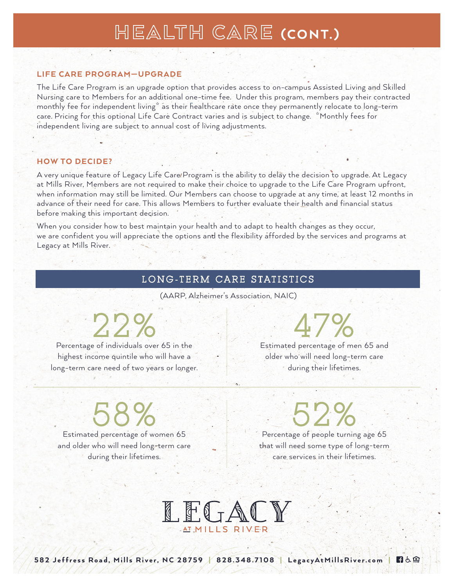### HEALTH CARE (CONT.)

#### LIFE CARE PROGRAM—UPGRADE

The Life Care Program is an upgrade option that provides access to on-campus Assisted Living and Skilled Nursing care to Members for an additional one-time fee. Under this program, members pay their contracted monthly fee for independent living\* as their healthcare rate once they permanently relocate to long-term care. Pricing for this optional Life Care Contract varies and is subject to change. \*Monthly fees for independent living are subject to annual cost of living adjustments.

#### HOW TO DECIDE?

A very unique feature of Legacy Life Care Program is the ability to delay the decision to upgrade. At Legacy at Mills River, Members are not required to make their choice to upgrade to the Life Care Program upfront, when information may still be limited. Our Members can choose to upgrade at any time, at least 12 months in advance of their need for care. This allows Members to further evaluate their health and financial status before making this important decision.

When you consider how to best maintain your health and to adapt to health changes as they occur, we are confident you will appreciate the options and the flexibility afforded by the services and programs at Legacy at Mills River.

#### LONG-TERM CARE STATISTICS

(AARP, Alzheimer's Association, NAIC)

22%

Percentage of individuals over 65 in the highest income quintile who will have a long-term care need of two years or longer.

## 47%

Estimated percentage of men 65 and older who will need long-term care during their lifetimes.

58%

Estimated percentage of women 65 and older who will need long-term care during their lifetimes.

52%

Percentage of people turning age 65 that will need some type of long-term care services in their lifetimes.